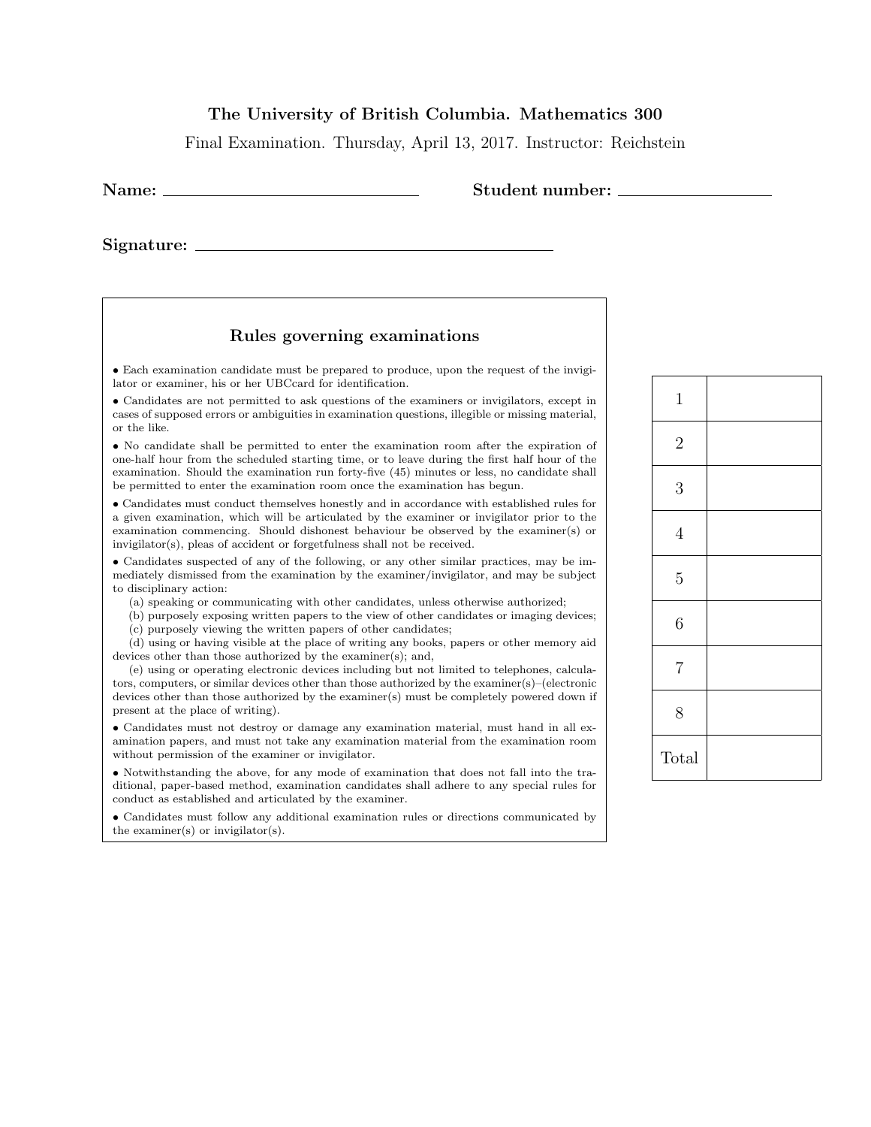## The University of British Columbia. Mathematics 300

Final Examination. Thursday, April 13, 2017. Instructor: Reichstein

| Name: |  |
|-------|--|
|       |  |

Signature:

## Rules governing examinations

• Each examination candidate must be prepared to produce, upon the request of the invigilator or examiner, his or her UBCcard for identification.

• Candidates are not permitted to ask questions of the examiners or invigilators, except in cases of supposed errors or ambiguities in examination questions, illegible or missing material, or the like.

• No candidate shall be permitted to enter the examination room after the expiration of one-half hour from the scheduled starting time, or to leave during the first half hour of the examination. Should the examination run forty-five (45) minutes or less, no candidate shall be permitted to enter the examination room once the examination has begun.

• Candidates must conduct themselves honestly and in accordance with established rules for a given examination, which will be articulated by the examiner or invigilator prior to the examination commencing. Should dishonest behaviour be observed by the examiner(s) or invigilator(s), pleas of accident or forgetfulness shall not be received.

• Candidates suspected of any of the following, or any other similar practices, may be immediately dismissed from the examination by the examiner/invigilator, and may be subject to disciplinary action:

(a) speaking or communicating with other candidates, unless otherwise authorized;

(b) purposely exposing written papers to the view of other candidates or imaging devices; (c) purposely viewing the written papers of other candidates;

(d) using or having visible at the place of writing any books, papers or other memory aid devices other than those authorized by the examiner(s); and,

(e) using or operating electronic devices including but not limited to telephones, calculators, computers, or similar devices other than those authorized by the examiner(s)–(electronic devices other than those authorized by the examiner(s) must be completely powered down if present at the place of writing).

• Candidates must not destroy or damage any examination material, must hand in all examination papers, and must not take any examination material from the examination room without permission of the examiner or invigilator.

• Notwithstanding the above, for any mode of examination that does not fall into the traditional, paper-based method, examination candidates shall adhere to any special rules for conduct as established and articulated by the examiner.

• Candidates must follow any additional examination rules or directions communicated by the examiner(s) or invigilator(s).

| $\mathbf 1$    |  |
|----------------|--|
| $\overline{2}$ |  |
| $\mathfrak{Z}$ |  |
| $\overline{4}$ |  |
| $\overline{5}$ |  |
| 6              |  |
| $\,7$          |  |
| 8              |  |
| Total          |  |

Student number: \_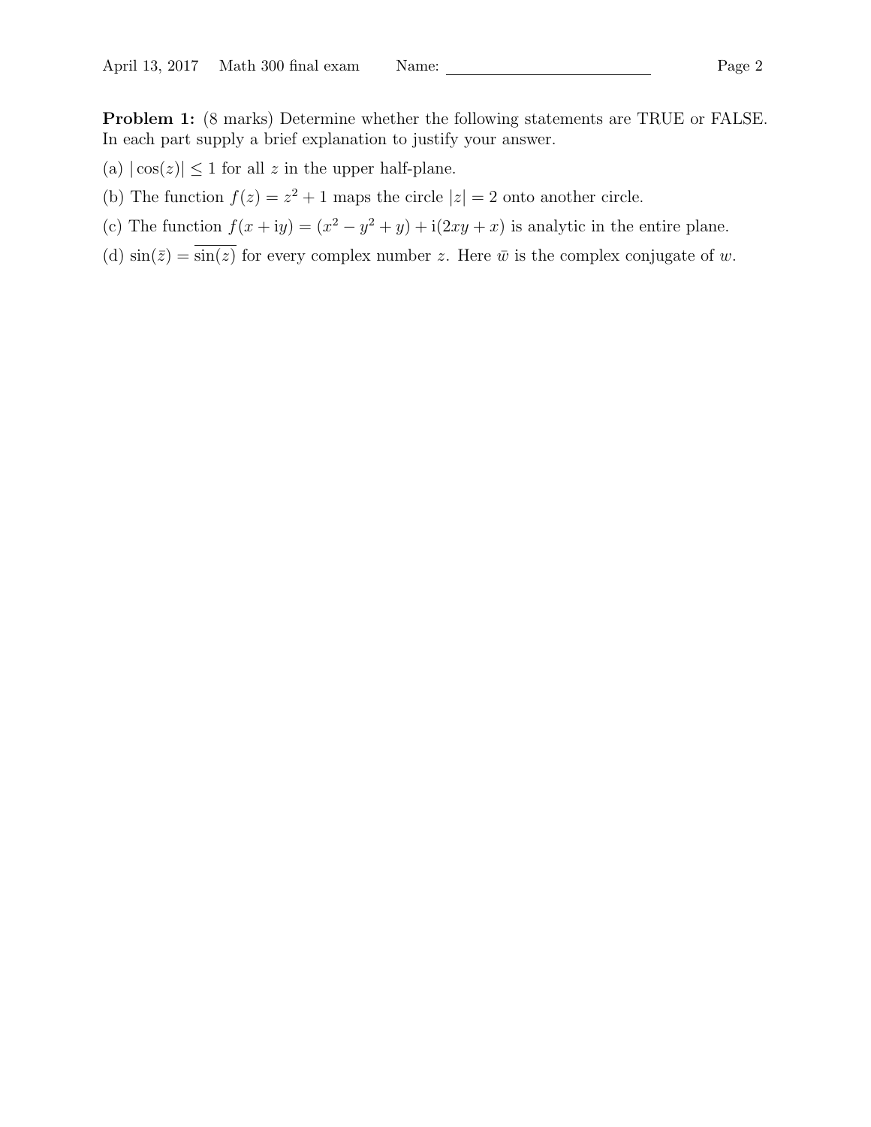Problem 1: (8 marks) Determine whether the following statements are TRUE or FALSE. In each part supply a brief explanation to justify your answer.

- (a)  $|\cos(z)| \le 1$  for all z in the upper half-plane.
- (b) The function  $f(z) = z^2 + 1$  maps the circle  $|z| = 2$  onto another circle.
- (c) The function  $f(x+iy) = (x^2 y^2 + y) + i(2xy + x)$  is analytic in the entire plane.
- (d)  $\sin(\overline{z}) = \overline{\sin(z)}$  for every complex number z. Here  $\overline{w}$  is the complex conjugate of w.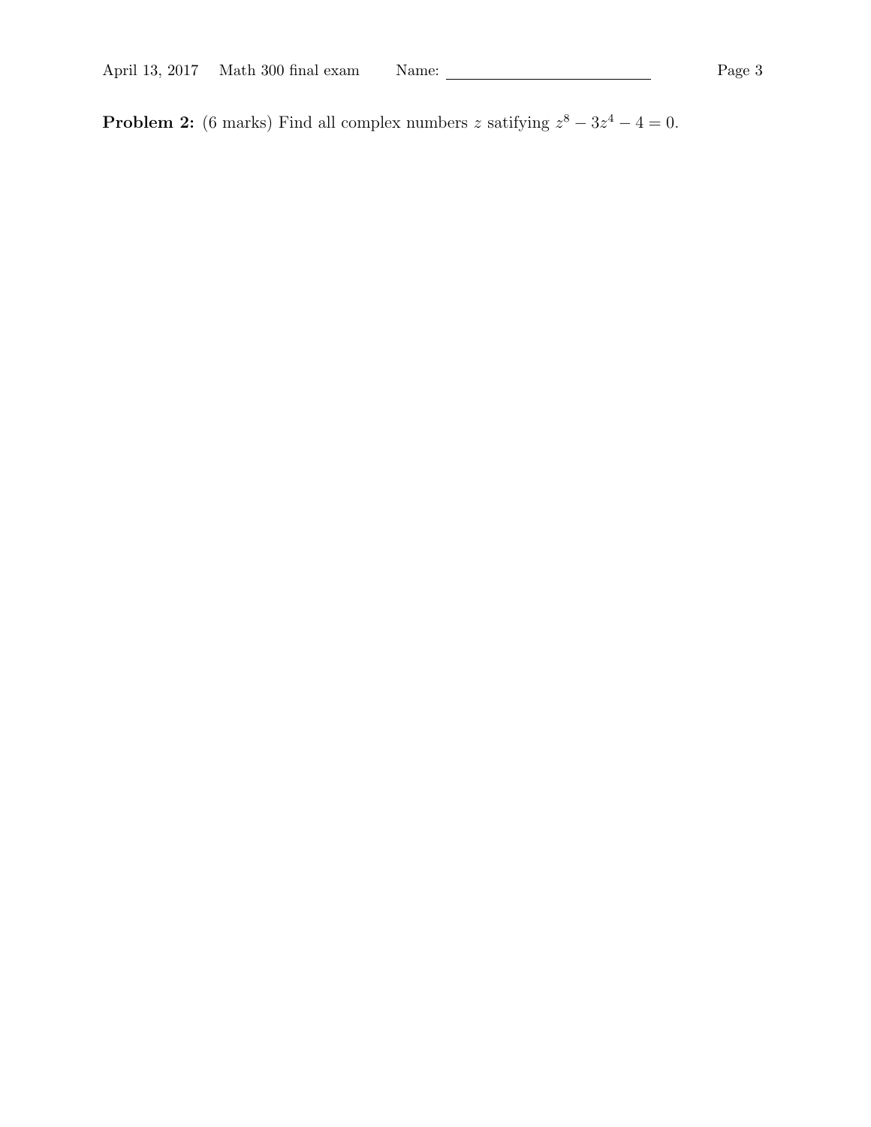**Problem 2:** (6 marks) Find all complex numbers z satifying  $z^8 - 3z^4 - 4 = 0$ .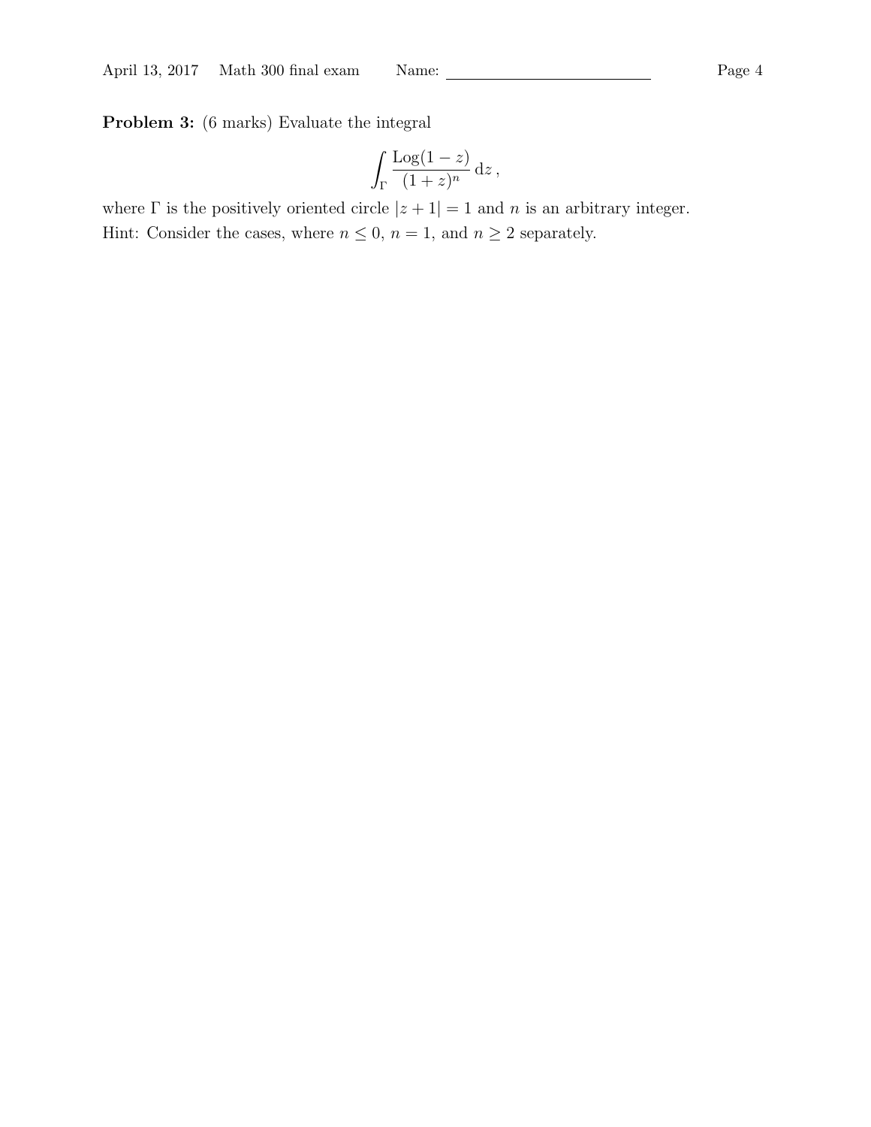Problem 3: (6 marks) Evaluate the integral

$$
\int_{\Gamma} \frac{\text{Log}(1-z)}{(1+z)^n} \,\mathrm{d}z\,,
$$

where  $\Gamma$  is the positively oriented circle  $|z + 1| = 1$  and n is an arbitrary integer. Hint: Consider the cases, where  $n \leq 0$ ,  $n = 1$ , and  $n \geq 2$  separately.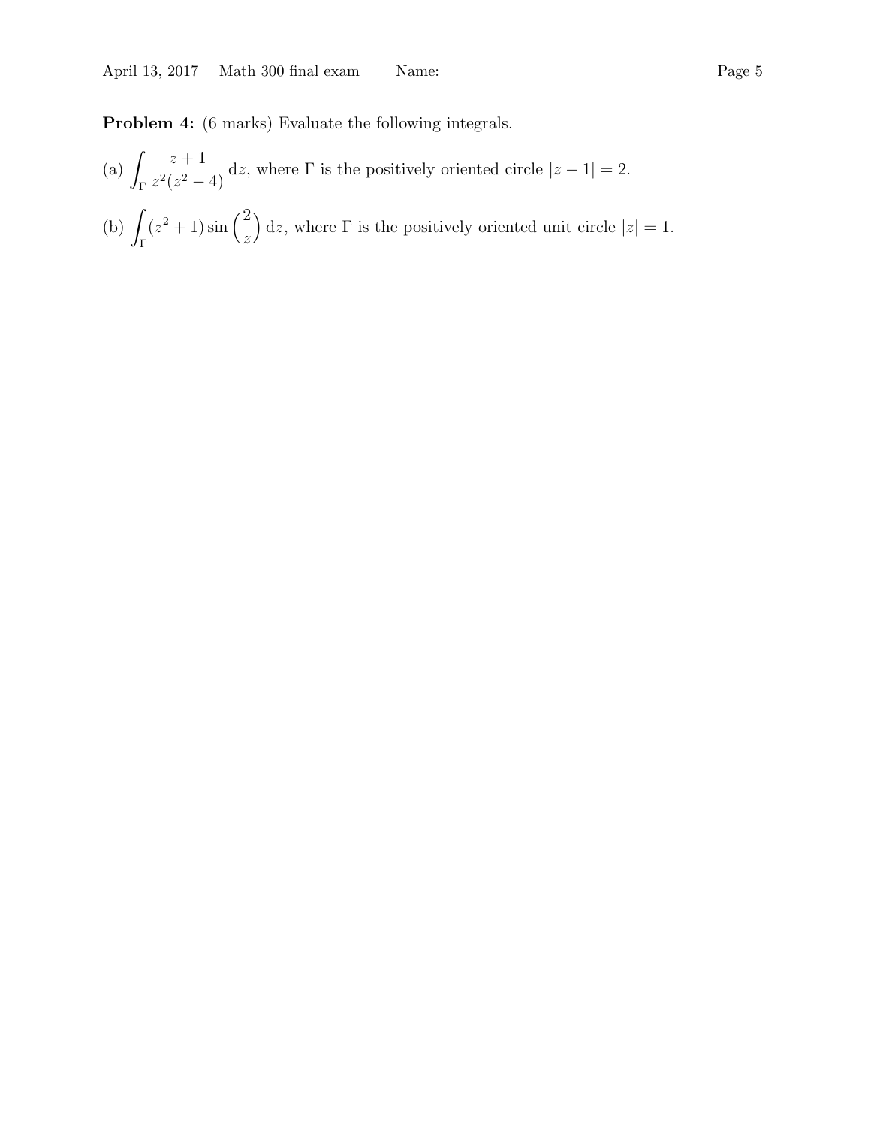Problem 4: (6 marks) Evaluate the following integrals.

 $(a)$ Γ  $z+1$  $\frac{z+1}{z^2(z^2-4)}$  dz, where  $\Gamma$  is the positively oriented circle  $|z-1|=2$ .  $(b)$ Γ  $(z^2+1)\sin\left( \frac{2}{z}\right)$ z  $\int dz$ , where  $\Gamma$  is the positively oriented unit circle  $|z|=1$ .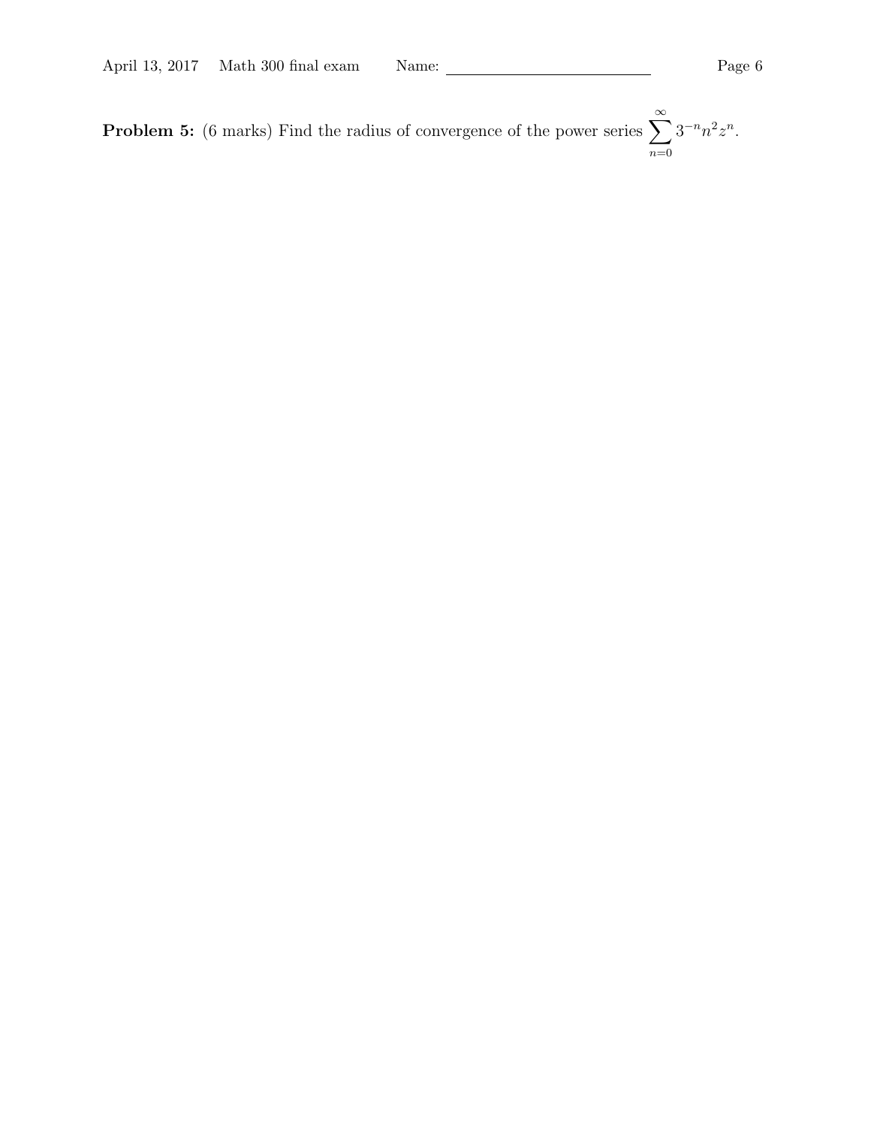**Problem 5:** (6 marks) Find the radius of convergence of the power series  $\sum_{n=1}^{\infty}$  $n=0$  $3^{-n}n^2z^n$ .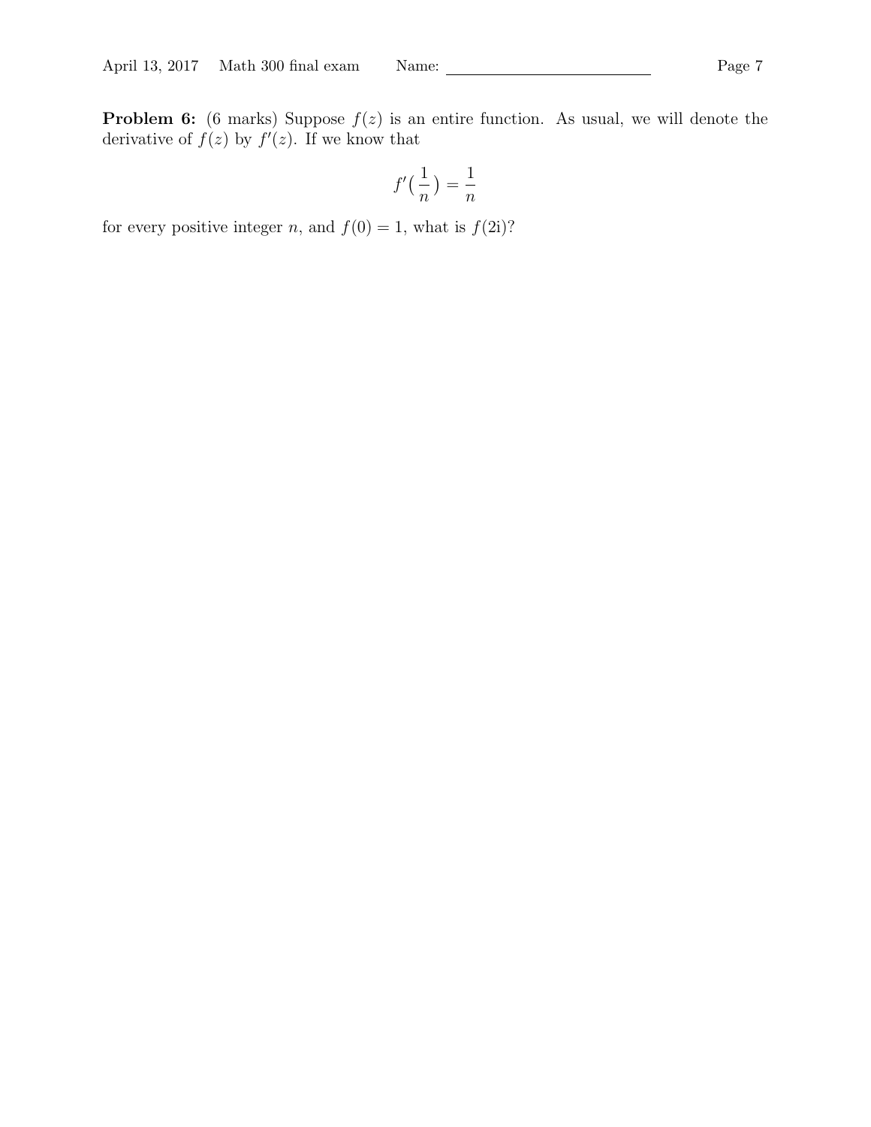**Problem 6:** (6 marks) Suppose  $f(z)$  is an entire function. As usual, we will denote the derivative of  $f(z)$  by  $f'(z)$ . If we know that

$$
f'\left(\frac{1}{n}\right) = \frac{1}{n}
$$

for every positive integer n, and  $f(0) = 1$ , what is  $f(2i)$ ?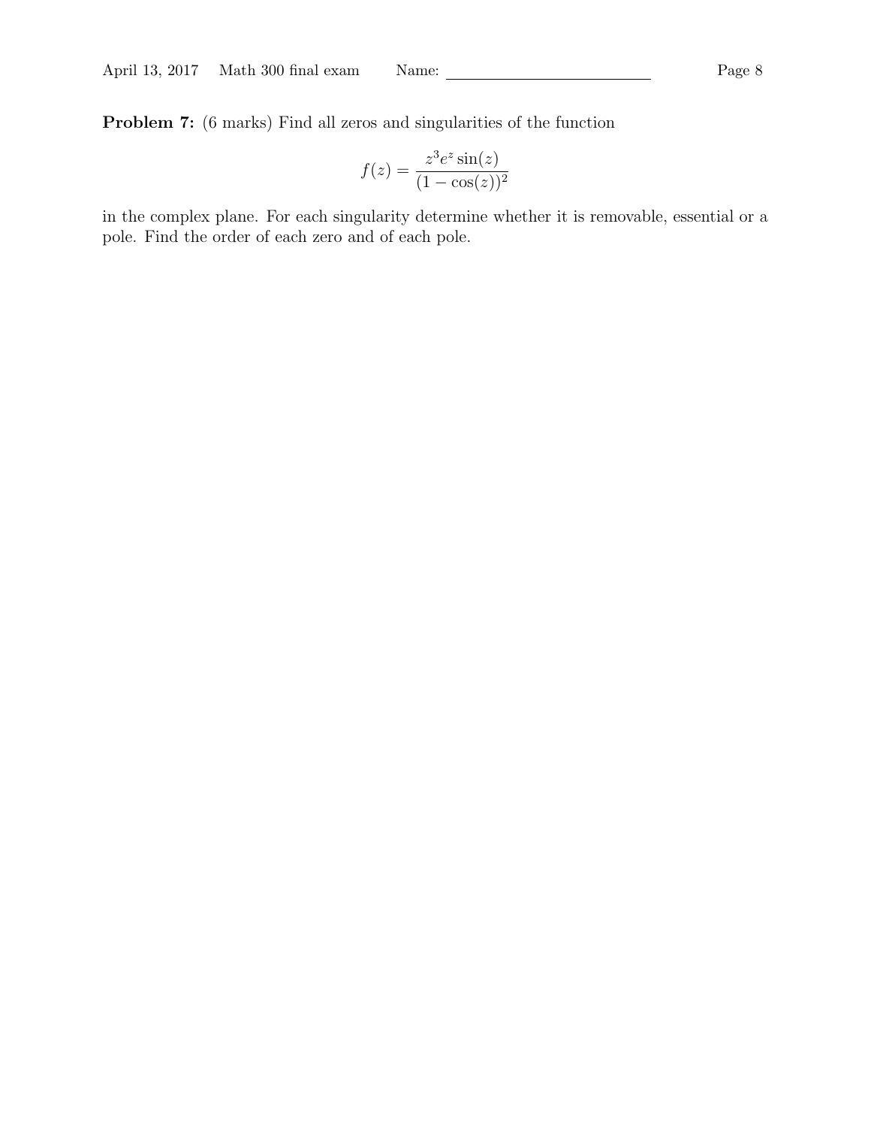Problem 7: (6 marks) Find all zeros and singularities of the function

$$
f(z) = \frac{z^3 e^z \sin(z)}{(1 - \cos(z))^2}
$$

in the complex plane. For each singularity determine whether it is removable, essential or a pole. Find the order of each zero and of each pole.